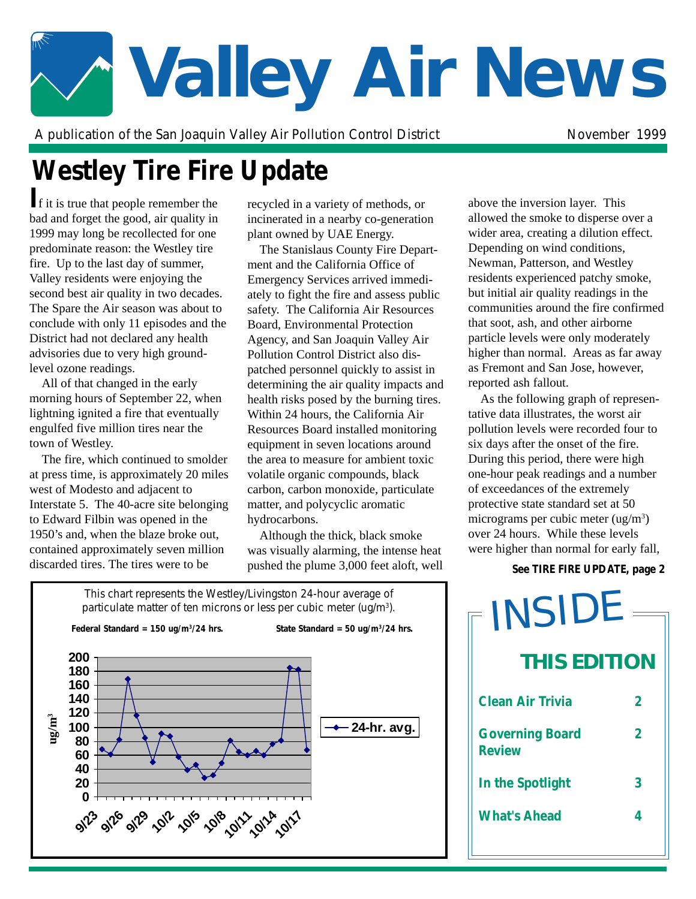# **Valley Air News**

A publication of the San Joaquin Valley Air Pollution Control District November 1999

# **Westley Tire Fire Update**

**I**f it is true that people remember the bad and forget the good, air quality in 1999 may long be recollected for one predominate reason: the Westley tire fire. Up to the last day of summer, Valley residents were enjoying the second best air quality in two decades. The Spare the Air season was about to conclude with only 11 episodes and the District had not declared any health advisories due to very high groundlevel ozone readings.

All of that changed in the early morning hours of September 22, when lightning ignited a fire that eventually engulfed five million tires near the town of Westley.

The fire, which continued to smolder at press time, is approximately 20 miles west of Modesto and adjacent to Interstate 5. The 40-acre site belonging to Edward Filbin was opened in the 1950's and, when the blaze broke out, contained approximately seven million discarded tires. The tires were to be

recycled in a variety of methods, or incinerated in a nearby co-generation plant owned by UAE Energy.

" ately to fight the fire and assess public The Stanislaus County Fire Department and the California Office of Emergency Services arrived immedisafety. The California Air Resources Board, Environmental Protection Agency, and San Joaquin Valley Air Pollution Control District also dispatched personnel quickly to assist in determining the air quality impacts and health risks posed by the burning tires. Within 24 hours, the California Air Resources Board installed monitoring equipment in seven locations around the area to measure for ambient toxic volatile organic compounds, black carbon, carbon monoxide, particulate matter, and polycyclic aromatic hydrocarbons.

Although the thick, black smoke was visually alarming, the intense heat pushed the plume 3,000 feet aloft, well above the inversion layer. This allowed the smoke to disperse over a wider area, creating a dilution effect. Depending on wind conditions, Newman, Patterson, and Westley residents experienced patchy smoke, but initial air quality readings in the communities around the fire confirmed that soot, ash, and other airborne particle levels were only moderately higher than normal. Areas as far away as Fremont and San Jose, however, reported ash fallout.

As the following graph of representative data illustrates, the worst air pollution levels were recorded four to six days after the onset of the fire. During this period, there were high one-hour peak readings and a number of exceedances of the extremely protective state standard set at 50 micrograms per cubic meter  $(ug/m<sup>3</sup>)$ over 24 hours. While these levels were higher than normal for early fall,

### *See TIRE FIRE UPDATE, page 2*



**Clean Air Trivia 2 Governing Board 2 Review In the Spotlight 3 What's Ahead 4 THIS EDITION** INSIDE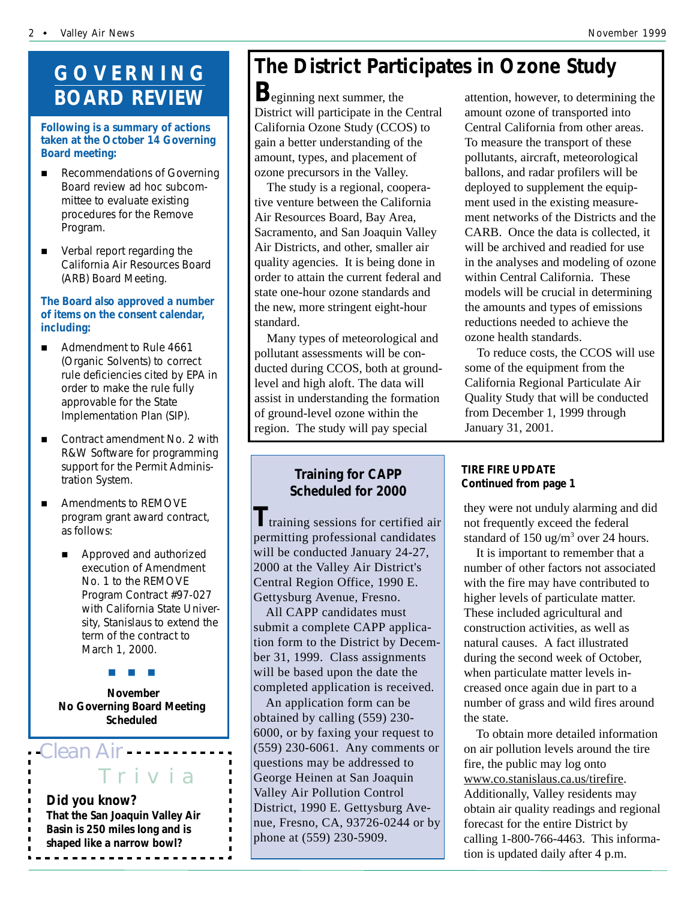## **GOVERNING BOARD REVIEW**

#### **Following is a summary of actions taken at the October 14 Governing Board meeting:**

- **E** Recommendations of Governing Board review ad hoc subcommittee to evaluate existing procedures for the Remove Program.
- **E** Verbal report regarding the California Air Resources Board (ARB) Board Meeting.

#### **The Board also approved a number of items on the consent calendar, including:**

- Admendment to Rule 4661 (Organic Solvents) to correct rule deficiencies cited by EPA in order to make the rule fully approvable for the State Implementation Plan (SIP).
- Contract amendment No. 2 with R&W Software for programming support for the Permit Administration System.
- Amendments to REMOVE program grant award contract, as follows:
	- Approved and authorized execution of Amendment No. 1 to the REMOVE Program Contract #97-027 with California State University, Stanislaus to extend the term of the contract to March 1, 2000.

#"#"#

 **November No Governing Board Meeting Scheduled**

*Clean Air*

## Tr iv ia

*Did you know? That the San Joaquin Valley Air Basin is 250 miles long and is shaped like a narrow bowl?* <u>-----------------</u>

# **The District Participates in Ozone Study**

District will participate in the Central **B**eginning next summer, the California Ozone Study (CCOS) to gain a better understanding of the amount, types, and placement of ozone precursors in the Valley.

The study is a regional, cooperative venture between the California Air Resources Board, Bay Area, Sacramento, and San Joaquin Valley Air Districts, and other, smaller air quality agencies. It is being done in order to attain the current federal and state one-hour ozone standards and the new, more stringent eight-hour standard.

Many types of meteorological and pollutant assessments will be conducted during CCOS, both at groundlevel and high aloft. The data will assist in understanding the formation of ground-level ozone within the region. The study will pay special

## **Training for CAPP Scheduled for 2000**

**T**training sessions for certified air permitting professional candidates will be conducted January 24-27, 2000 at the Valley Air District's Central Region Office, 1990 E. Gettysburg Avenue, Fresno.

All CAPP candidates must submit a complete CAPP application form to the District by December 31, 1999. Class assignments will be based upon the date the completed application is received.

An application form can be obtained by calling (559) 230- 6000, or by faxing your request to (559) 230-6061. Any comments or questions may be addressed to George Heinen at San Joaquin Valley Air Pollution Control District, 1990 E. Gettysburg Avenue, Fresno, CA, 93726-0244 or by phone at (559) 230-5909.

attention, however, to determining the amount ozone of transported into Central California from other areas. To measure the transport of these pollutants, aircraft, meteorological ballons, and radar profilers will be deployed to supplement the equipment used in the existing measurement networks of the Districts and the CARB. Once the data is collected, it will be archived and readied for use in the analyses and modeling of ozone within Central California. These models will be crucial in determining the amounts and types of emissions reductions needed to achieve the ozone health standards.

To reduce costs, the CCOS will use some of the equipment from the California Regional Particulate Air Quality Study that will be conducted from December 1, 1999 through January 31, 2001.

## *TIRE FIRE UPDATE Continued from page 1*

they were not unduly alarming and did not frequently exceed the federal standard of  $150 \text{ ug/m}^3$  over 24 hours.

It is important to remember that a number of other factors not associated with the fire may have contributed to higher levels of particulate matter. These included agricultural and construction activities, as well as natural causes. A fact illustrated during the second week of October, when particulate matter levels increased once again due in part to a number of grass and wild fires around the state.

To obtain more detailed information on air pollution levels around the tire fire, the public may log onto www.co.stanislaus.ca.us/tirefire. Additionally, Valley residents may obtain air quality readings and regional forecast for the entire District by calling 1-800-766-4463. This information is updated daily after 4 p.m.